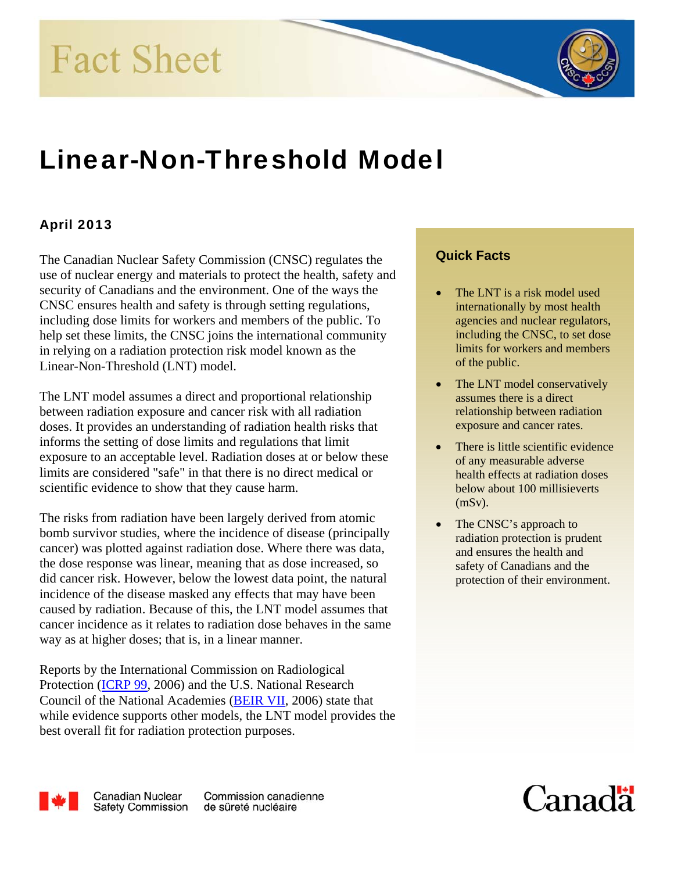**Fact Sheet** 

# Linear-Non-Threshold Model

# April 2013

The Canadian Nuclear Safety Commission (CNSC) regulates the use of nuclear energy and materials to protect the health, safety and security of Canadians and the environment. One of the ways the CNSC ensures health and safety is through setting regulations, including dose limits for workers and members of the public. To help set these limits, the CNSC joins the international community in relying on a radiation protection risk model known as the Linear-Non-Threshold (LNT) model.

The LNT model assumes a direct and proportional relationship between radiation exposure and cancer risk with all radiation doses. It provides an understanding of radiation health risks that informs the setting of dose limits and regulations that limit exposure to an acceptable level. Radiation doses at or below these limits are considered "safe" in that there is no direct medical or scientific evidence to show that they cause harm.

The risks from radiation have been largely derived from atomic bomb survivor studies, where the incidence of disease (principally cancer) was plotted against radiation dose. Where there was data, the dose response was linear, meaning that as dose increased, so did cancer risk. However, below the lowest data point, the natural incidence of the disease masked any effects that may have been caused by radiation. Because of this, the LNT model assumes that cancer incidence as it relates to radiation dose behaves in the same way as at higher doses; that is, in a linear manner.

Reports by the International Commission on Radiological Protection [\(ICRP 99,](http://www.elsevier.com/wps/find/bookdescription.cws_home/710219/description#description) 2006) and the U.S. National Research Council of the National Academies [\(BEIR VII](http://dels-old.nas.edu/dels/rpt_briefs/beir_vii_final.pdf), 2006) state that while evidence supports other models, the LNT model provides the best overall fit for radiation protection purposes.

#### **Quick Facts**

- The LNT is a risk model used internationally by most health agencies and nuclear regulators, including the CNSC, to set dose limits for workers and members of the public.
- assumes there is a direct relationship between radiation exposure and cancer rates. The LNT model conservatively
- There is little scientific evidence of any measurable adverse health effects at radiation doses below about 100 millisieverts (mSv).
- The CNSC's approach to radiation protection is prudent and ensures the health and safety of Canadians and the protection of their environment.



**Canadian Nuclear Safety Commission** 

Commission canadienne de sûreté nucléaire

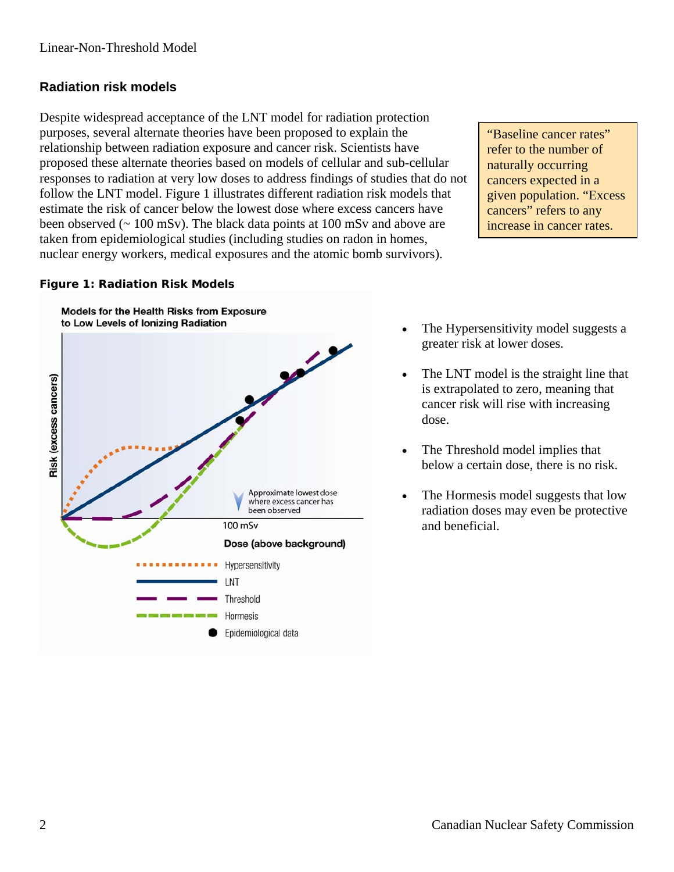### **Radiation risk models**

Despite widespread acceptance of the LNT model for radiation protection purposes, several alternate theories have been proposed to explain the relationship between radiation exposure and cancer risk. Scientists have proposed these alternate theories based on models of cellular and sub-cellular responses to radiation at very low doses to address findings of studies that do not follow the LNT model. Figure 1 illustrates different radiation risk models that estimate the risk of cancer below the lowest dose where excess cancers have been observed ( $\sim 100$  mSv). The black data points at 100 mSv and above are taken from epidemiological studies (including studies on radon in homes, nuclear energy workers, medical exposures and the atomic bomb survivors).

"Baseline cancer rates" refer to the number of naturally occurring cancers expected in a given population. "Excess cancers" refers to any increase in cancer rates.

#### **Figure 1: Radiation Risk Models**



- The Hypersensitivity model suggests a greater risk at lower doses.
- The LNT model is the straight line that is extrapolated to zero, meaning that cancer risk will rise with increasing dose.
- The Threshold model implies that below a certain dose, there is no risk.
- The Hormesis model suggests that low radiation doses may even be protective and beneficial.